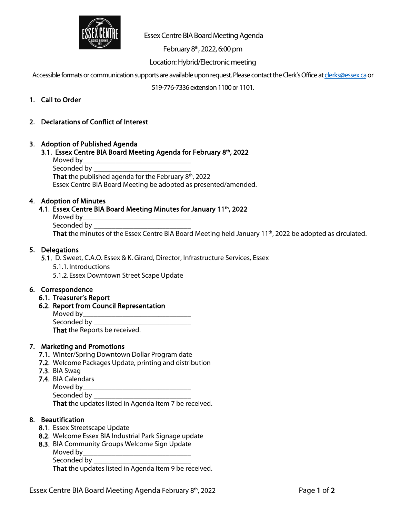

Essex Centre BIA Board Meeting Agenda

February  $8<sup>th</sup>$ , 2022, 6:00 pm

Location: Hybrid/Electronic meeting

Accessible formats or communication supports are available upon request. Please contact the Clerk's Office at clerks@essex.ca or

519-776-7336 extension 1100 or 1101.

- 1. Call to Order
- 2. Declarations of Conflict of Interest

### 3. Adoption of Published Agenda

3.1. Essex Centre BIA Board Meeting Agenda for February 8th, 2022

| Moved by_                                                       |
|-----------------------------------------------------------------|
| Seconded by                                                     |
| <b>That</b> the published agenda for the February $8th$ , 2022  |
| Essex Centre BIA Board Meeting be adopted as presented/amended. |

### 4. Adoption of Minutes

# 4.1. Essex Centre BIA Board Meeting Minutes for January 11<sup>th</sup>, 2022

Moved by\_\_\_\_\_\_\_\_\_\_\_\_\_\_\_\_\_\_\_\_\_\_\_\_\_\_\_\_\_\_ Seconded by \_\_\_\_\_\_\_\_\_\_\_\_\_\_\_\_\_\_\_\_\_\_\_\_\_\_\_

That the minutes of the Essex Centre BIA Board Meeting held January 11<sup>th</sup>, 2022 be adopted as circulated.

### 5. Delegations

5.1. D. Sweet, C.A.O. Essex & K. Girard, Director, Infrastructure Services, Essex

5.1.1. Introductions

5.1.2. Essex Downtown Street Scape Update

### 6. Correspondence

- 6.1. Treasurer's Report
- 6.2. Report from Council Representation

Moved by\_\_\_\_\_\_\_\_\_\_\_\_\_\_\_\_\_\_\_\_\_\_\_\_\_\_\_\_\_\_ Seconded by \_\_\_\_\_\_\_\_\_\_\_\_\_\_\_\_\_\_\_\_\_\_\_\_\_\_\_ That the Reports be received.

# 7. Marketing and Promotions

- 7.1. Winter/Spring Downtown Dollar Program date
- 7.2. Welcome Packages Update, printing and distribution
- 7.3. BIA Swag
- 7.4. BIA Calendars
	- Moved by

Seconded by \_\_\_\_\_\_\_\_\_\_\_\_\_\_\_\_\_\_\_\_\_\_\_\_\_\_\_

That the updates listed in Agenda Item 7 be received.

# 8. Beautification

- 8.1. Essex Streetscape Update
- 8.2. Welcome Essex BIA Industrial Park Signage update
- 8.3. BIA Community Groups Welcome Sign Update
	- Moved by\_\_\_\_\_\_\_\_\_\_\_\_\_\_\_\_\_\_\_\_\_\_\_\_\_\_\_\_\_\_
	- Seconded by \_\_\_\_\_\_\_\_\_\_\_\_\_\_\_\_\_\_\_\_\_\_\_\_\_\_\_

That the updates listed in Agenda Item 9 be received.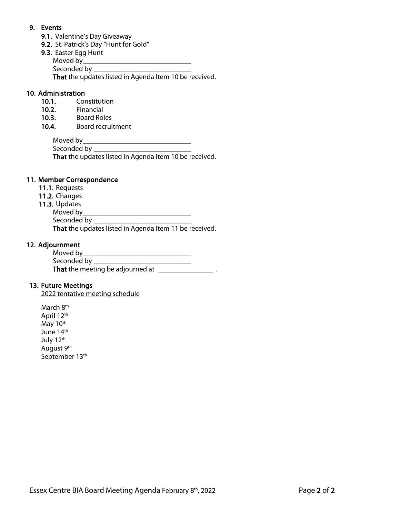# 9. Events

- 9.1. Valentine's Day Giveaway
- 9.2. St. Patrick's Day "Hunt for Gold"
- 9.3. Easter Egg Hunt
	- Moved by\_\_\_\_\_\_\_\_\_\_\_\_\_\_\_\_\_\_\_\_\_\_\_\_\_\_\_\_\_\_
	- Seconded by

That the updates listed in Agenda Item 10 be received.

# 10. Administration

- 10.1. Constitution
- 10.2. Financial
- 10.3. Board Roles
- 10.4. Board recruitment

Moved by\_\_\_\_\_\_\_\_\_\_\_\_\_\_\_\_\_\_\_\_\_\_\_\_\_\_\_\_\_\_

Seconded by \_\_\_\_\_\_\_\_\_\_\_\_\_\_\_\_\_\_\_\_\_\_\_\_\_\_\_

That the updates listed in Agenda Item 10 be received.

# 11. Member Correspondence

- 11.1. Requests
- 11.2. Changes
- 11.3. Updates
	- Moved by\_\_\_\_\_\_\_\_\_\_\_\_\_\_\_\_\_\_\_\_\_\_\_\_\_\_\_\_\_\_

Seconded by **Example 20** 

That the updates listed in Agenda Item 11 be received.

# 12. Adjournment

| Moved by                         |  |
|----------------------------------|--|
| Seconded by __                   |  |
| That the meeting be adjourned at |  |

# 13. Future Meetings

2022 tentative meeting schedule

March 8<sup>th</sup> April 12th May 10<sup>th</sup> June 14th July 12th August 9<sup>th</sup> September 13th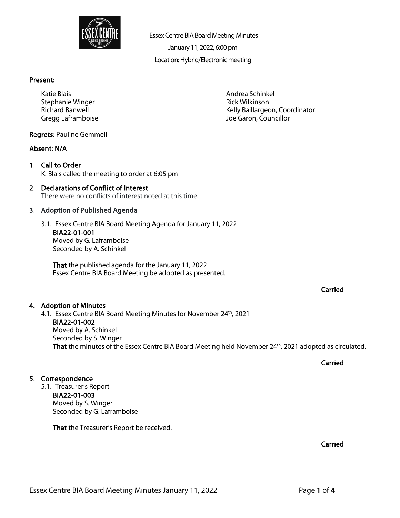

Essex Centre BIA Board Meeting Minutes

January 11, 2022,6:00 pm

Location: Hybrid/Electronic meeting

Andrea Schinkel Rick Wilkinson

Joe Garon, Councillor

Kelly Baillargeon, Coordinator

### Present:

Katie Blais Stephanie Winger Richard Banwell Gregg Laframboise

### Regrets: Pauline Gemmell

### Absent: N/A

1. Call to Order K. Blais called the meeting to order at 6:05 pm

### 2. Declarations of Conflict of Interest There were no conflicts of interest noted at this time.

### 3. Adoption of Published Agenda

3.1. Essex Centre BIA Board Meeting Agenda for January 11, 2022 BIA22-01-001 Moved by G. Laframboise Seconded by A. Schinkel

That the published agenda for the January 11, 2022 Essex Centre BIA Board Meeting be adopted as presented.

# Carried

### 4. Adoption of Minutes

4.1. Essex Centre BIA Board Meeting Minutes for November 24<sup>th</sup>, 2021 BIA22-01-002 Moved by A. Schinkel Seconded by S. Winger That the minutes of the Essex Centre BIA Board Meeting held November 24<sup>th</sup>, 2021 adopted as circulated.

Carried

# 5. Correspondence

5.1. Treasurer's Report BIA22-01-003 Moved by S. Winger Seconded by G. Laframboise

That the Treasurer's Report be received.

Carried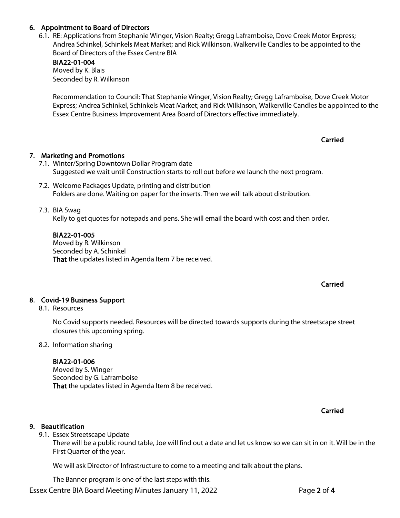# 6. Appointment to Board of Directors

6.1. RE: Applications from Stephanie Winger, Vision Realty; Gregg Laframboise, Dove Creek Motor Express; Andrea Schinkel, Schinkels Meat Market; and Rick Wilkinson, Walkerville Candles to be appointed to the Board of Directors of the Essex Centre BIA

### BIA22-01-004 Moved by K. Blais Seconded by R. Wilkinson

Recommendation to Council: That Stephanie Winger, Vision Realty; Gregg Laframboise, Dove Creek Motor Express; Andrea Schinkel, Schinkels Meat Market; and Rick Wilkinson, Walkerville Candles be appointed to the Essex Centre Business Improvement Area Board of Directors effective immediately.

# 7. Marketing and Promotions

- 7.1. Winter/Spring Downtown Dollar Program date Suggested we wait until Construction starts to roll out before we launch the next program.
- 7.2. Welcome Packages Update, printing and distribution Folders are done. Waiting on paper for the inserts. Then we will talk about distribution.

### 7.3. BIA Swag

Kelly to get quotes for notepads and pens. She will email the board with cost and then order.

### BIA22-01-005

Moved by R. Wilkinson Seconded by A. Schinkel That the updates listed in Agenda Item 7 be received.

# Carried

Carried

# 8. Covid-19 Business Support

### 8.1. Resources

No Covid supports needed. Resources will be directed towards supports during the streetscape street closures this upcoming spring.

### 8.2. Information sharing

### BIA22-01-006

Moved by S. Winger Seconded by G. Laframboise That the updates listed in Agenda Item 8 be received.

Carried

# 9. Beautification

9.1. Essex Streetscape Update

There will be a public round table, Joe will find out a date and let us know so we can sit in on it. Will be in the First Quarter of the year.

We will ask Director of Infrastructure to come to a meeting and talk about the plans.

The Banner program is one of the last steps with this.

Essex Centre BIA Board Meeting Minutes January 11, 2022 **Page 2 of 4**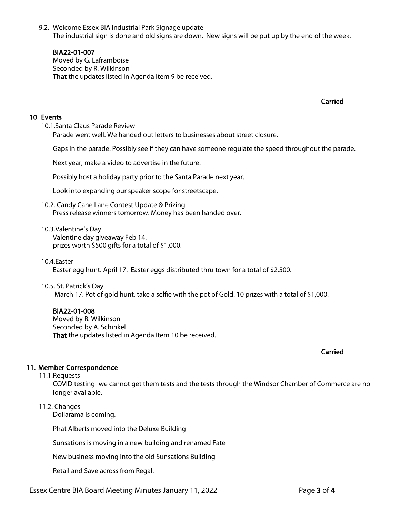9.2. Welcome Essex BIA Industrial Park Signage update The industrial sign is done and old signs are down. New signs will be put up by the end of the week.

### BIA22-01-007

Moved by G. Laframboise Seconded by R. Wilkinson That the updates listed in Agenda Item 9 be received.

Carried

### 10. Events

10.1.Santa Claus Parade Review Parade went well. We handed out letters to businesses about street closure.

Gaps in the parade. Possibly see if they can have someone regulate the speed throughout the parade.

Next year, make a video to advertise in the future.

Possibly host a holiday party prior to the Santa Parade next year.

Look into expanding our speaker scope for streetscape.

10.2. Candy Cane Lane Contest Update & Prizing Press release winners tomorrow. Money has been handed over.

#### 10.3.Valentine's Day

Valentine day giveaway Feb 14. prizes worth \$500 gifts for a total of \$1,000.

#### 10.4.Easter

Easter egg hunt. April 17. Easter eggs distributed thru town for a total of \$2,500.

#### 10.5. St. Patrick's Day

March 17. Pot of gold hunt, take a selfie with the pot of Gold. 10 prizes with a total of \$1,000.

### BIA22-01-008

Moved by R. Wilkinson Seconded by A. Schinkel That the updates listed in Agenda Item 10 be received.

#### Carried

### 11. Member Correspondence

11.1.Requests

COVID testing- we cannot get them tests and the tests through the Windsor Chamber of Commerce are no longer available.

### 11.2. Changes

Dollarama is coming.

Phat Alberts moved into the Deluxe Building

Sunsations is moving in a new building and renamed Fate

New business moving into the old Sunsations Building

Retail and Save across from Regal.

Essex Centre BIA Board Meeting Minutes January 11, 2022 **Page 3 of 4**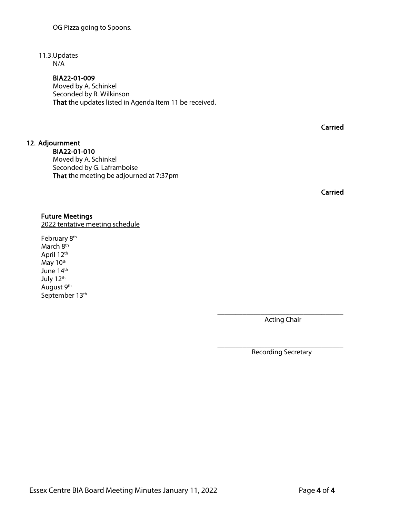# 11.3.Updates

N/A

12. Adjournment

# BIA22-01-009

BIA22-01-010

Moved by A. Schinkel

Seconded by G. Laframboise

That the meeting be adjourned at 7:37pm

Moved by A. Schinkel Seconded by R. Wilkinson That the updates listed in Agenda Item 11 be received.

**Carried** 

Carried

### Future Meetings 2022 tentative meeting schedule

February 8<sup>th</sup> March 8<sup>th</sup> April 12th May 10<sup>th</sup> June 14<sup>th</sup> July 12th August 9th

September 13<sup>th</sup>

\_\_\_\_\_\_\_\_\_\_\_\_\_\_\_\_\_\_\_\_\_\_\_\_\_\_\_\_\_\_\_\_\_\_\_ Acting Chair

\_\_\_\_\_\_\_\_\_\_\_\_\_\_\_\_\_\_\_\_\_\_\_\_\_\_\_\_\_\_\_\_\_\_\_ Recording Secretary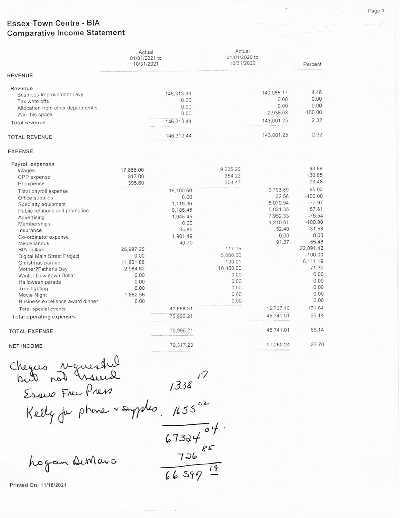# **Essex Town Centre - BIA Comparative Income Statement**

|                                    | Actual<br>01/01/2021 to<br>10/31/2021 |              | Actual<br>01/01/2020 to<br>10/31/2020 |            | Percent   |
|------------------------------------|---------------------------------------|--------------|---------------------------------------|------------|-----------|
| REVENUE                            |                                       |              |                                       |            |           |
| Revenue                            |                                       |              |                                       | 140,065.17 | 4.46      |
| <b>Business Improvement Levy</b>   |                                       | 146,313.44   |                                       | 0.00       | 0.00      |
| Tax write offs                     |                                       | 0.00         |                                       | 0.00       | 0.00      |
| Allocation from other department's |                                       | 0.00<br>0.00 |                                       | 2,936.08   | $-100.00$ |
| Win this space                     |                                       |              |                                       |            | 2.32      |
| <b>Total revenue</b>               |                                       | 146,313.44   |                                       | 143,001.25 |           |
| <b>TOTAL REVENUE</b>               |                                       | 146,313.44   |                                       | 143,001.25 | 2.32      |
| <b>EXPENSE</b>                     |                                       |              |                                       |            |           |
| Payroll expenses                   |                                       |              |                                       |            |           |
| Wages                              | 17,888.00                             |              | 9,235.20                              |            | 93.69     |
| CPP expense                        | 817.00                                |              | 354.22                                |            | 130.65    |
| El expense                         | 395.60                                |              | 204.47                                |            | 93.48     |
| Total payroll expense              |                                       | 19,100.60    |                                       | 9,793.89   | 95.03     |
| Office supplies                    |                                       | 0.00         |                                       | 32.56      | $-100.00$ |
| Specialty equipment                |                                       | 1,119.36     |                                       | 5,079.94   | $-77.97$  |
| Public relations and promotion     |                                       | 9,186.45     |                                       | 5,821.35   | 57.81     |
| Advertising                        |                                       | 1,945.45     |                                       | 7,952.33   | $-75.54$  |
| <b>Memberships</b>                 |                                       | 0.00         |                                       | 1,210.01   | $-100.00$ |
| Insurance                          |                                       | 35.85        |                                       | 52.40      | $-31.58$  |
| Co-ordinator expense               |                                       | 1,901.49     |                                       | 0.00       | 0.00      |
| Miscellanous                       |                                       | 40.70        |                                       | 91.37      | $-55.46$  |
| <b>BIA</b> dollars                 | 25,997.25                             |              | 117.15                                |            | 22,091.42 |
| Digital Main Street Project        | 0.00                                  |              | 5,000.00                              |            | $-100.00$ |
| Christmas parade                   | 11,801.88                             |              | 190.01                                |            | 6,111.19  |
| Mother?Father's Day                | 2,984.62                              |              | 10,400.00                             |            | $-71.30$  |
| <b>Winter Downtown Dollar</b>      | 0.00                                  |              | 0.00                                  |            | 0.00      |
| Halloween parade                   | 0.00                                  |              | 0.00                                  |            | 0.00      |
| Tree lighting                      | 0.00                                  |              | 0.00                                  |            | 0.00      |
| Movie Night                        | 1.882.56                              |              | 0.00                                  |            | 0.00      |
| Business excellence award dinner   | 0.00                                  |              | 0.00                                  |            | 0.00      |
| Total special events               |                                       | 42,666.31    |                                       | 15,707.16  | 171.64    |
| <b>Total operating expenses</b>    |                                       | 75,996.21    |                                       | 45,741.01  | 66.14     |
| <b>TOTAL EXPENSE</b>               |                                       | 75,996.21    |                                       | 45,741.01  | 66.14     |
| <b>NET INCOME</b>                  |                                       | 70,317.23    |                                       | 97,260.24  | $-27.70$  |

Chegus requested Serve France 1338  $\frac{67334^{6}+1}{736^{85}}$ <br> $\frac{736^{85}}{66^{59}+19}$ 

hogan DeMars

Printed On: 11/18/2021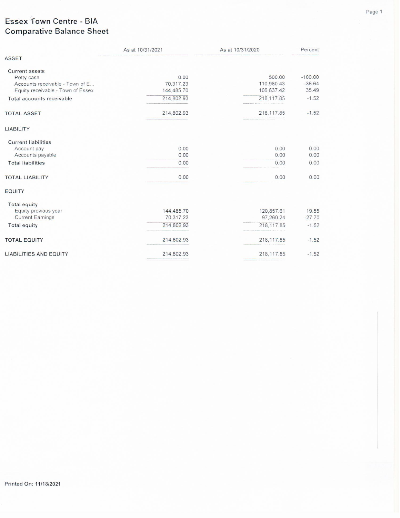# Essex Town Centre - BIA **Comparative Balance Sheet**

|                                                                      | As at 10/31/2021        | As at 10/31/2020         | Percent           |
|----------------------------------------------------------------------|-------------------------|--------------------------|-------------------|
| <b>ASSET</b>                                                         |                         |                          |                   |
| <b>Current assets</b><br>Petty cash                                  | 0.00                    | 500.00                   | $-100.00$         |
| Accounts receivable - Town of E<br>Equity receivable - Town of Essex | 70,317.23<br>144,485.70 | 110,980.43<br>106,637.42 | $-36.64$<br>35.49 |
| Total accounts receivable                                            | 214,802.93              | 218, 117.85              | $-1.52$           |
| <b>TOTAL ASSET</b>                                                   | 214,802.93              | 218, 117.85              | $-1.52$           |
| <b>LIABILITY</b>                                                     |                         |                          |                   |
| <b>Current liabilities</b>                                           |                         |                          |                   |
| Account pay                                                          | 0.00                    | 0.00                     | 0.00              |
| Accounts payable<br><b>Total liabilities</b>                         | 0.00<br>0.00            | 0.00<br>0.00             | 0.00<br>0.00      |
|                                                                      |                         |                          |                   |
| <b>TOTAL LIABILITY</b>                                               | 0.00                    | 0.00                     | 0.00              |
| <b>EQUITY</b>                                                        |                         |                          |                   |
| <b>Total equity</b>                                                  |                         |                          |                   |
| Equity previous year                                                 | 144,485.70              | 120,857.61               | 19.55             |
| <b>Current Earnings</b>                                              | 70,317.23               | 97,260.24                | $-27.70$          |
| <b>Total equity</b>                                                  | 214,802.93              | 218,117.85               | $-1.52$           |
| <b>TOTAL EQUITY</b>                                                  | 214,802.93              | 218, 117.85              | $-1.52$           |
| <b>LIABILITIES AND EQUITY</b>                                        | 214,802.93              | 218, 117.85              | $-1.52$           |